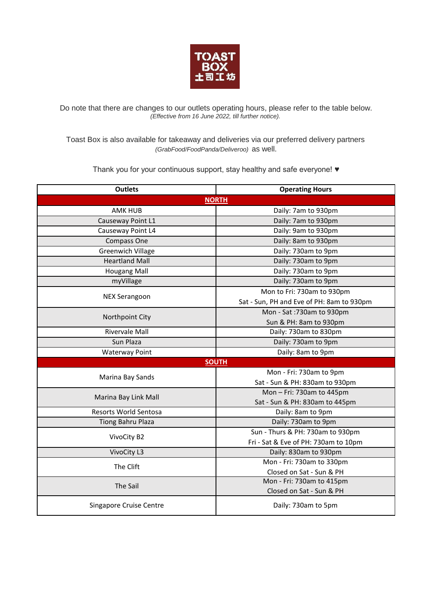

Do note that there are changes to our outlets operating hours, please refer to the table below. *(Effective from 16 June 2022, till further notice).*

Toast Box is also available for takeaway and deliveries via our preferred delivery partners *(GrabFood/FoodPanda/Deliveroo)* as well.

Thank you for your continuous support, stay healthy and safe everyone! ♥

| <b>Outlets</b>               | <b>Operating Hours</b>                    |  |
|------------------------------|-------------------------------------------|--|
| <b>NORTH</b>                 |                                           |  |
| <b>AMK HUB</b>               | Daily: 7am to 930pm                       |  |
| Causeway Point L1            | Daily: 7am to 930pm                       |  |
| Causeway Point L4            | Daily: 9am to 930pm                       |  |
| Compass One                  | Daily: 8am to 930pm                       |  |
| <b>Greenwich Village</b>     | Daily: 730am to 9pm                       |  |
| <b>Heartland Mall</b>        | Daily: 730am to 9pm                       |  |
| <b>Hougang Mall</b>          | Daily: 730am to 9pm                       |  |
| myVillage                    | Daily: 730am to 9pm                       |  |
| <b>NEX Serangoon</b>         | Mon to Fri: 730am to 930pm                |  |
|                              | Sat - Sun, PH and Eve of PH: 8am to 930pm |  |
|                              | Mon - Sat: 730am to 930pm                 |  |
| Northpoint City              | Sun & PH: 8am to 930pm                    |  |
| <b>Rivervale Mall</b>        | Daily: 730am to 830pm                     |  |
| Sun Plaza                    | Daily: 730am to 9pm                       |  |
| <b>Waterway Point</b>        | Daily: 8am to 9pm                         |  |
|                              | <b>SOUTH</b>                              |  |
| Marina Bay Sands             | Mon - Fri: 730am to 9pm                   |  |
|                              | Sat - Sun & PH: 830am to 930pm            |  |
| Marina Bay Link Mall         | Mon-Fri: 730am to 445pm                   |  |
|                              | Sat - Sun & PH: 830am to 445pm            |  |
| <b>Resorts World Sentosa</b> | Daily: 8am to 9pm                         |  |
| Tiong Bahru Plaza            | Daily: 730am to 9pm                       |  |
| VivoCity B2                  | Sun - Thurs & PH: 730am to 930pm          |  |
|                              | Fri - Sat & Eve of PH: 730am to 10pm      |  |
| VivoCity L3                  | Daily: 830am to 930pm                     |  |
| The Clift                    | Mon - Fri: 730am to 330pm                 |  |
|                              | Closed on Sat - Sun & PH                  |  |
| The Sail                     | Mon - Fri: 730am to 415pm                 |  |
|                              | Closed on Sat - Sun & PH                  |  |
| Singapore Cruise Centre      | Daily: 730am to 5pm                       |  |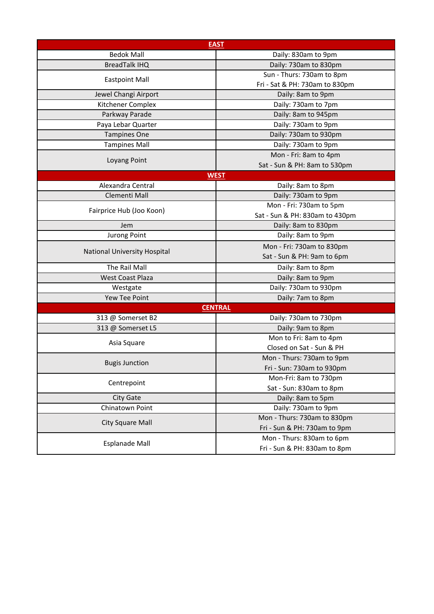| <b>EAST</b>                  |                                |  |
|------------------------------|--------------------------------|--|
| <b>Bedok Mall</b>            | Daily: 830am to 9pm            |  |
| <b>BreadTalk IHQ</b>         | Daily: 730am to 830pm          |  |
| <b>Eastpoint Mall</b>        | Sun - Thurs: 730am to 8pm      |  |
|                              | Fri - Sat & PH: 730am to 830pm |  |
| Jewel Changi Airport         | Daily: 8am to 9pm              |  |
| Kitchener Complex            | Daily: 730am to 7pm            |  |
| Parkway Parade               | Daily: 8am to 945pm            |  |
| Paya Lebar Quarter           | Daily: 730am to 9pm            |  |
| <b>Tampines One</b>          | Daily: 730am to 930pm          |  |
| <b>Tampines Mall</b>         | Daily: 730am to 9pm            |  |
|                              | Mon - Fri: 8am to 4pm          |  |
| Loyang Point                 | Sat - Sun & PH: 8am to 530pm   |  |
| <b>WEST</b>                  |                                |  |
| Alexandra Central            | Daily: 8am to 8pm              |  |
| Clementi Mall                | Daily: 730am to 9pm            |  |
| Fairprice Hub (Joo Koon)     | Mon - Fri: 730am to 5pm        |  |
|                              | Sat - Sun & PH: 830am to 430pm |  |
| Jem                          | Daily: 8am to 830pm            |  |
| <b>Jurong Point</b>          | Daily: 8am to 9pm              |  |
| National University Hospital | Mon - Fri: 730am to 830pm      |  |
|                              | Sat - Sun & PH: 9am to 6pm     |  |
| The Rail Mall                | Daily: 8am to 8pm              |  |
| West Coast Plaza             | Daily: 8am to 9pm              |  |
| Westgate                     | Daily: 730am to 930pm          |  |
| Yew Tee Point                | Daily: 7am to 8pm              |  |
| <b>CENTRAL</b>               |                                |  |
| 313 @ Somerset B2            | Daily: 730am to 730pm          |  |
| 313 @ Somerset L5            | Daily: 9am to 8pm              |  |
| Asia Square                  | Mon to Fri: 8am to 4pm         |  |
|                              | Closed on Sat - Sun & PH       |  |
| <b>Bugis Junction</b>        | Mon - Thurs: 730am to 9pm      |  |
|                              | Fri - Sun: 730am to 930pm      |  |
| Centrepoint                  | Mon-Fri: 8am to 730pm          |  |
|                              | Sat - Sun: 830am to 8pm        |  |
| City Gate                    | Daily: 8am to 5pm              |  |
| Chinatown Point              | Daily: 730am to 9pm            |  |
| <b>City Square Mall</b>      | Mon - Thurs: 730am to 830pm    |  |
|                              | Fri - Sun & PH: 730am to 9pm   |  |
| Esplanade Mall               | Mon - Thurs: 830am to 6pm      |  |
|                              | Fri - Sun & PH: 830am to 8pm   |  |